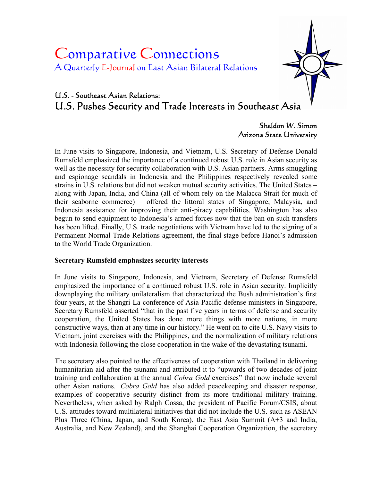# Comparative Connections A Quarterly E-Journal on East Asian Bilateral Relations



# U.S. - Southeast Asian Relations: U.S. Pushes Security and Trade Interests in Southeast Asia

Sheldon W. Simon Arizona State University

In June visits to Singapore, Indonesia, and Vietnam, U.S. Secretary of Defense Donald Rumsfeld emphasized the importance of a continued robust U.S. role in Asian security as well as the necessity for security collaboration with U.S. Asian partners. Arms smuggling and espionage scandals in Indonesia and the Philippines respectively revealed some strains in U.S. relations but did not weaken mutual security activities. The United States – along with Japan, India, and China (all of whom rely on the Malacca Strait for much of their seaborne commerce) – offered the littoral states of Singapore, Malaysia, and Indonesia assistance for improving their anti-piracy capabilities. Washington has also begun to send equipment to Indonesia's armed forces now that the ban on such transfers has been lifted. Finally, U.S. trade negotiations with Vietnam have led to the signing of a Permanent Normal Trade Relations agreement, the final stage before Hanoi's admission to the World Trade Organization.

# **Secretary Rumsfeld emphasizes security interests**

In June visits to Singapore, Indonesia, and Vietnam, Secretary of Defense Rumsfeld emphasized the importance of a continued robust U.S. role in Asian security. Implicitly downplaying the military unilateralism that characterized the Bush administration's first four years, at the Shangri-La conference of Asia-Pacific defense ministers in Singapore, Secretary Rumsfeld asserted "that in the past five years in terms of defense and security cooperation, the United States has done more things with more nations, in more constructive ways, than at any time in our history." He went on to cite U.S. Navy visits to Vietnam, joint exercises with the Philippines, and the normalization of military relations with Indonesia following the close cooperation in the wake of the devastating tsunami.

The secretary also pointed to the effectiveness of cooperation with Thailand in delivering humanitarian aid after the tsunami and attributed it to "upwards of two decades of joint training and collaboration at the annual *Cobra Gold* exercises" that now include several other Asian nations. *Cobra Gold* has also added peacekeeping and disaster response, examples of cooperative security distinct from its more traditional military training. Nevertheless, when asked by Ralph Cossa, the president of Pacific Forum/CSIS, about U.S. attitudes toward multilateral initiatives that did not include the U.S. such as ASEAN Plus Three (China, Japan, and South Korea), the East Asia Summit (A+3 and India, Australia, and New Zealand), and the Shanghai Cooperation Organization, the secretary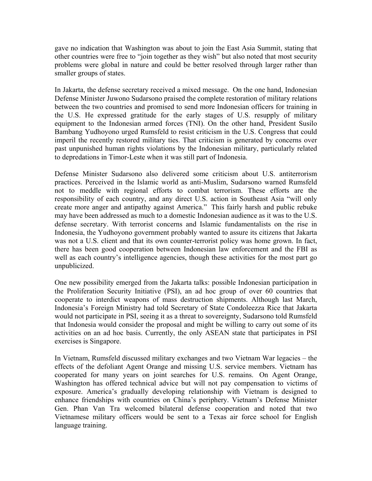gave no indication that Washington was about to join the East Asia Summit, stating that other countries were free to "join together as they wish" but also noted that most security problems were global in nature and could be better resolved through larger rather than smaller groups of states.

In Jakarta, the defense secretary received a mixed message. On the one hand, Indonesian Defense Minister Juwono Sudarsono praised the complete restoration of military relations between the two countries and promised to send more Indonesian officers for training in the U.S. He expressed gratitude for the early stages of U.S. resupply of military equipment to the Indonesian armed forces (TNI). On the other hand, President Susilo Bambang Yudhoyono urged Rumsfeld to resist criticism in the U.S. Congress that could imperil the recently restored military ties. That criticism is generated by concerns over past unpunished human rights violations by the Indonesian military, particularly related to depredations in Timor-Leste when it was still part of Indonesia.

Defense Minister Sudarsono also delivered some criticism about U.S. antiterrorism practices. Perceived in the Islamic world as anti-Muslim, Sudarsono warned Rumsfeld not to meddle with regional efforts to combat terrorism. These efforts are the responsibility of each country, and any direct U.S. action in Southeast Asia "will only create more anger and antipathy against America." This fairly harsh and public rebuke may have been addressed as much to a domestic Indonesian audience as it was to the U.S. defense secretary. With terrorist concerns and Islamic fundamentalists on the rise in Indonesia, the Yudhoyono government probably wanted to assure its citizens that Jakarta was not a U.S. client and that its own counter-terrorist policy was home grown. In fact, there has been good cooperation between Indonesian law enforcement and the FBI as well as each country's intelligence agencies, though these activities for the most part go unpublicized.

One new possibility emerged from the Jakarta talks: possible Indonesian participation in the Proliferation Security Initiative (PSI), an ad hoc group of over 60 countries that cooperate to interdict weapons of mass destruction shipments. Although last March, Indonesia's Foreign Ministry had told Secretary of State Condoleezza Rice that Jakarta would not participate in PSI, seeing it as a threat to sovereignty, Sudarsono told Rumsfeld that Indonesia would consider the proposal and might be willing to carry out some of its activities on an ad hoc basis. Currently, the only ASEAN state that participates in PSI exercises is Singapore.

In Vietnam, Rumsfeld discussed military exchanges and two Vietnam War legacies – the effects of the defoliant Agent Orange and missing U.S. service members. Vietnam has cooperated for many years on joint searches for U.S. remains. On Agent Orange, Washington has offered technical advice but will not pay compensation to victims of exposure. America's gradually developing relationship with Vietnam is designed to enhance friendships with countries on China's periphery. Vietnam's Defense Minister Gen. Phan Van Tra welcomed bilateral defense cooperation and noted that two Vietnamese military officers would be sent to a Texas air force school for English language training.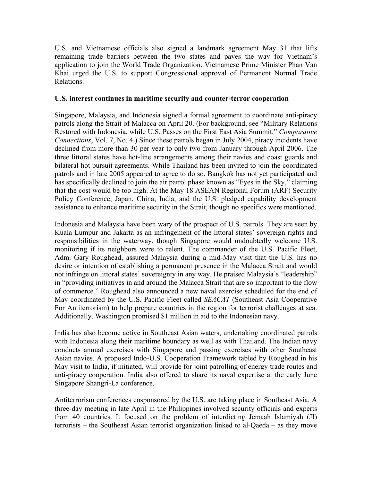U.S. and Vietnamese officials also signed a landmark agreement May 31 that lifts remaining trade barriers between the two states and paves the way for Vietnam's application to join the World Trade Organization. Vietnamese Prime Minister Phan Van Khai urged the U.S. to support Congressional approval of Permanent Normal Trade Relations.

#### **U.S. interest continues in maritime security and counter-terror cooperation**

Singapore, Malaysia, and Indonesia signed a formal agreement to coordinate anti-piracy patrols along the Strait of Malacca on April 20. (For background, see "Military Relations Restored with Indonesia, while U.S. Passes on the First East Asia Summit," *Comparative Connections*, Vol. 7, No. 4.) Since these patrols began in July 2004, piracy incidents have declined from more than 30 per year to only two from January through April 2006. The three littoral states have hot-line arrangements among their navies and coast guards and bilateral hot pursuit agreements. While Thailand has been invited to join the coordinated patrols and in late 2005 appeared to agree to do so, Bangkok has not yet participated and has specifically declined to join the air patrol phase known as "Eyes in the Sky," claiming that the cost would be too high. At the May 18 ASEAN Regional Forum (ARF) Security Policy Conference, Japan, China, India, and the U.S. pledged capability development assistance to enhance maritime security in the Strait, though no specifics were mentioned.

Indonesia and Malaysia have been wary of the prospect of U.S. patrols. They are seen by Kuala Lumpur and Jakarta as an infringement of the littoral states' sovereign rights and responsibilities in the waterway, though Singapore would undoubtedly welcome U.S. monitoring if its neighbors were to relent. The commander of the U.S. Pacific Fleet, Adm. Gary Roughead, assured Malaysia during a mid-May visit that the U.S. has no desire or intention of establishing a permanent presence in the Malacca Strait and would not infringe on littoral states' sovereignty in any way. He praised Malaysia's "leadership" in "providing initiatives in and around the Malacca Strait that are so important to the flow of commerce." Roughead also announced a new naval exercise scheduled for the end of May coordinated by the U.S. Pacific Fleet called *SEACAT* (Southeast Asia Cooperative For Antiterrorism) to help prepare countries in the region for terrorist challenges at sea. Additionally, Washington promised \$1 million in aid to the Indonesian navy.

India has also become active in Southeast Asian waters, undertaking coordinated patrols with Indonesia along their maritime boundary as well as with Thailand. The Indian navy conducts annual exercises with Singapore and passing exercises with other Southeast Asian navies. A proposed Indo-U.S. Cooperation Framework tabled by Roughead in his May visit to India, if initiated, will provide for joint patrolling of energy trade routes and anti-piracy cooperation. India also offered to share its naval expertise at the early June Singapore Shangri-La conference.

Antiterrorism conferences cosponsored by the U.S. are taking place in Southeast Asia. A three-day meeting in late April in the Philippines involved security officials and experts from 40 countries. It focused on the problem of interdicting Jemaah Islamiyah (JI) terrorists – the Southeast Asian terrorist organization linked to al-Qaeda – as they move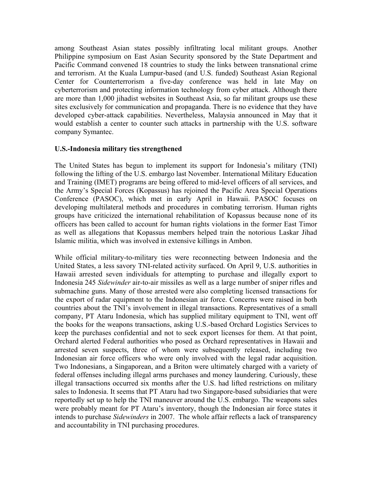among Southeast Asian states possibly infiltrating local militant groups. Another Philippine symposium on East Asian Security sponsored by the State Department and Pacific Command convened 18 countries to study the links between transnational crime and terrorism. At the Kuala Lumpur-based (and U.S. funded) Southeast Asian Regional Center for Counterterrorism a five-day conference was held in late May on cyberterrorism and protecting information technology from cyber attack. Although there are more than 1,000 jihadist websites in Southeast Asia, so far militant groups use these sites exclusively for communication and propaganda. There is no evidence that they have developed cyber-attack capabilities. Nevertheless, Malaysia announced in May that it would establish a center to counter such attacks in partnership with the U.S. software company Symantec.

### **U.S.-Indonesia military ties strengthened**

The United States has begun to implement its support for Indonesia's military (TNI) following the lifting of the U.S. embargo last November. International Military Education and Training (IMET) programs are being offered to mid-level officers of all services, and the Army's Special Forces (Kopassus) has rejoined the Pacific Area Special Operations Conference (PASOC), which met in early April in Hawaii. PASOC focuses on developing multilateral methods and procedures in combating terrorism. Human rights groups have criticized the international rehabilitation of Kopassus because none of its officers has been called to account for human rights violations in the former East Timor as well as allegations that Kopassus members helped train the notorious Laskar Jihad Islamic militia, which was involved in extensive killings in Ambon.

While official military-to-military ties were reconnecting between Indonesia and the United States, a less savory TNI-related activity surfaced. On April 9, U.S. authorities in Hawaii arrested seven individuals for attempting to purchase and illegally export to Indonesia 245 *Sidewinder* air-to-air missiles as well as a large number of sniper rifles and submachine guns. Many of those arrested were also completing licensed transactions for the export of radar equipment to the Indonesian air force. Concerns were raised in both countries about the TNI's involvement in illegal transactions. Representatives of a small company, PT Ataru Indonesia, which has supplied military equipment to TNI, went off the books for the weapons transactions, asking U.S.-based Orchard Logistics Services to keep the purchases confidential and not to seek export licenses for them. At that point, Orchard alerted Federal authorities who posed as Orchard representatives in Hawaii and arrested seven suspects, three of whom were subsequently released, including two Indonesian air force officers who were only involved with the legal radar acquisition. Two Indonesians, a Singaporean, and a Briton were ultimately charged with a variety of federal offenses including illegal arms purchases and money laundering. Curiously, these illegal transactions occurred six months after the U.S. had lifted restrictions on military sales to Indonesia. It seems that PT Ataru had two Singapore-based subsidiaries that were reportedly set up to help the TNI maneuver around the U.S. embargo. The weapons sales were probably meant for PT Ataru's inventory, though the Indonesian air force states it intends to purchase *Sidewinders* in 2007. The whole affair reflects a lack of transparency and accountability in TNI purchasing procedures.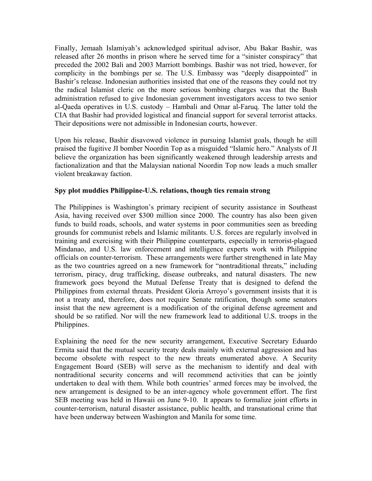Finally, Jemaah Islamiyah's acknowledged spiritual advisor, Abu Bakar Bashir, was released after 26 months in prison where he served time for a "sinister conspiracy" that preceded the 2002 Bali and 2003 Marriott bombings. Bashir was not tried, however, for complicity in the bombings per se. The U.S. Embassy was "deeply disappointed" in Bashir's release. Indonesian authorities insisted that one of the reasons they could not try the radical Islamist cleric on the more serious bombing charges was that the Bush administration refused to give Indonesian government investigators access to two senior al-Qaeda operatives in U.S. custody – Hambali and Omar al-Faruq. The latter told the CIA that Bashir had provided logistical and financial support for several terrorist attacks. Their depositions were not admissible in Indonesian courts, however.

Upon his release, Bashir disavowed violence in pursuing Islamist goals, though he still praised the fugitive JI bomber Noordin Top as a misguided "Islamic hero." Analysts of JI believe the organization has been significantly weakened through leadership arrests and factionalization and that the Malaysian national Noordin Top now leads a much smaller violent breakaway faction.

# **Spy plot muddies Philippine-U.S. relations, though ties remain strong**

The Philippines is Washington's primary recipient of security assistance in Southeast Asia, having received over \$300 million since 2000. The country has also been given funds to build roads, schools, and water systems in poor communities seen as breeding grounds for communist rebels and Islamic militants. U.S. forces are regularly involved in training and exercising with their Philippine counterparts, especially in terrorist-plagued Mindanao, and U.S. law enforcement and intelligence experts work with Philippine officials on counter-terrorism. These arrangements were further strengthened in late May as the two countries agreed on a new framework for "nontraditional threats," including terrorism, piracy, drug trafficking, disease outbreaks, and natural disasters. The new framework goes beyond the Mutual Defense Treaty that is designed to defend the Philippines from external threats. President Gloria Arroyo's government insists that it is not a treaty and, therefore, does not require Senate ratification, though some senators insist that the new agreement is a modification of the original defense agreement and should be so ratified. Nor will the new framework lead to additional U.S. troops in the Philippines.

Explaining the need for the new security arrangement, Executive Secretary Eduardo Ermita said that the mutual security treaty deals mainly with external aggression and has become obsolete with respect to the new threats enumerated above. A Security Engagement Board (SEB) will serve as the mechanism to identify and deal with nontraditional security concerns and will recommend activities that can be jointly undertaken to deal with them. While both countries' armed forces may be involved, the new arrangement is designed to be an inter-agency whole government effort. The first SEB meeting was held in Hawaii on June 9-10. It appears to formalize joint efforts in counter-terrorism, natural disaster assistance, public health, and transnational crime that have been underway between Washington and Manila for some time.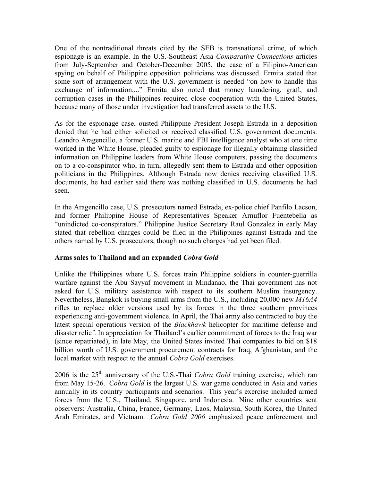One of the nontraditional threats cited by the SEB is transnational crime, of which espionage is an example. In the U.S.-Southeast Asia *Comparative Connections* articles from July-September and October-December 2005, the case of a Filipino-American spying on behalf of Philippine opposition politicians was discussed. Ermita stated that some sort of arrangement with the U.S. government is needed "on how to handle this exchange of information...." Ermita also noted that money laundering, graft, and corruption cases in the Philippines required close cooperation with the United States, because many of those under investigation had transferred assets to the U.S.

As for the espionage case, ousted Philippine President Joseph Estrada in a deposition denied that he had either solicited or received classified U.S. government documents. Leandro Aragencillo, a former U.S. marine and FBI intelligence analyst who at one time worked in the White House, pleaded guilty to espionage for illegally obtaining classified information on Philippine leaders from White House computers, passing the documents on to a co-conspirator who, in turn, allegedly sent them to Estrada and other opposition politicians in the Philippines. Although Estrada now denies receiving classified U.S. documents, he had earlier said there was nothing classified in U.S. documents he had seen.

In the Aragencillo case, U.S. prosecutors named Estrada, ex-police chief Panfilo Lacson, and former Philippine House of Representatives Speaker Arnuflor Fuentebella as "unindicted co-conspirators." Philippine Justice Secretary Raul Gonzalez in early May stated that rebellion charges could be filed in the Philippines against Estrada and the others named by U.S. prosecutors, though no such charges had yet been filed.

# **Arms sales to Thailand and an expanded** *Cobra Gold*

Unlike the Philippines where U.S. forces train Philippine soldiers in counter-guerrilla warfare against the Abu Sayyaf movement in Mindanao, the Thai government has not asked for U.S. military assistance with respect to its southern Muslim insurgency. Nevertheless, Bangkok is buying small arms from the U.S., including 20,000 new *M16A4* rifles to replace older versions used by its forces in the three southern provinces experiencing anti-government violence. In April, the Thai army also contracted to buy the latest special operations version of the *Blackhawk* helicopter for maritime defense and disaster relief. In appreciation for Thailand's earlier commitment of forces to the Iraq war (since repatriated), in late May, the United States invited Thai companies to bid on \$18 billion worth of U.S. government procurement contracts for Iraq, Afghanistan, and the local market with respect to the annual *Cobra Gold* exercises.

2006 is the 25th anniversary of the U.S.-Thai *Cobra Gold* training exercise, which ran from May 15-26. *Cobra Gold* is the largest U.S. war game conducted in Asia and varies annually in its country participants and scenarios. This year's exercise included armed forces from the U.S., Thailand, Singapore, and Indonesia. Nine other countries sent observers: Australia, China, France, Germany, Laos, Malaysia, South Korea, the United Arab Emirates, and Vietnam. *Cobra Gold 2006* emphasized peace enforcement and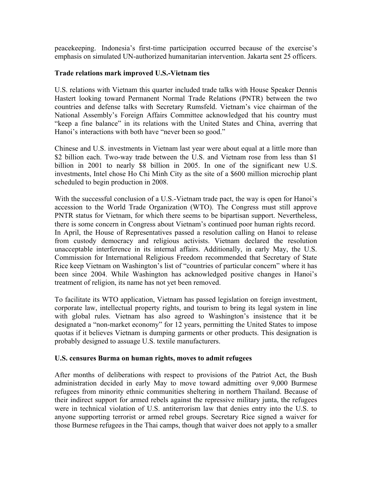peacekeeping. Indonesia's first-time participation occurred because of the exercise's emphasis on simulated UN-authorized humanitarian intervention. Jakarta sent 25 officers.

#### **Trade relations mark improved U.S.-Vietnam ties**

U.S. relations with Vietnam this quarter included trade talks with House Speaker Dennis Hastert looking toward Permanent Normal Trade Relations (PNTR) between the two countries and defense talks with Secretary Rumsfeld. Vietnam's vice chairman of the National Assembly's Foreign Affairs Committee acknowledged that his country must "keep a fine balance" in its relations with the United States and China, averring that Hanoi's interactions with both have "never been so good."

Chinese and U.S. investments in Vietnam last year were about equal at a little more than \$2 billion each. Two-way trade between the U.S. and Vietnam rose from less than \$1 billion in 2001 to nearly \$8 billion in 2005. In one of the significant new U.S. investments, Intel chose Ho Chi Minh City as the site of a \$600 million microchip plant scheduled to begin production in 2008.

With the successful conclusion of a U.S.-Vietnam trade pact, the way is open for Hanoi's accession to the World Trade Organization (WTO). The Congress must still approve PNTR status for Vietnam, for which there seems to be bipartisan support. Nevertheless, there is some concern in Congress about Vietnam's continued poor human rights record. In April, the House of Representatives passed a resolution calling on Hanoi to release from custody democracy and religious activists. Vietnam declared the resolution unacceptable interference in its internal affairs. Additionally, in early May, the U.S. Commission for International Religious Freedom recommended that Secretary of State Rice keep Vietnam on Washington's list of "countries of particular concern" where it has been since 2004. While Washington has acknowledged positive changes in Hanoi's treatment of religion, its name has not yet been removed.

To facilitate its WTO application, Vietnam has passed legislation on foreign investment, corporate law, intellectual property rights, and tourism to bring its legal system in line with global rules. Vietnam has also agreed to Washington's insistence that it be designated a "non-market economy" for 12 years, permitting the United States to impose quotas if it believes Vietnam is dumping garments or other products. This designation is probably designed to assuage U.S. textile manufacturers.

#### **U.S. censures Burma on human rights, moves to admit refugees**

After months of deliberations with respect to provisions of the Patriot Act, the Bush administration decided in early May to move toward admitting over 9,000 Burmese refugees from minority ethnic communities sheltering in northern Thailand. Because of their indirect support for armed rebels against the repressive military junta, the refugees were in technical violation of U.S. antiterrorism law that denies entry into the U.S. to anyone supporting terrorist or armed rebel groups. Secretary Rice signed a waiver for those Burmese refugees in the Thai camps, though that waiver does not apply to a smaller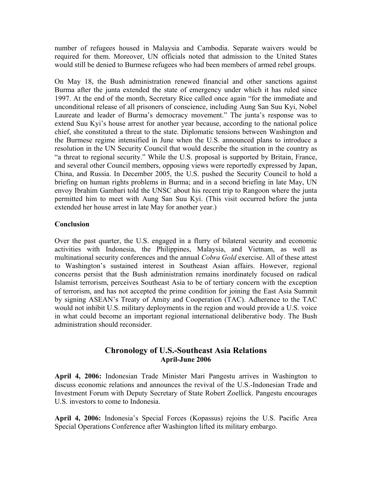number of refugees housed in Malaysia and Cambodia. Separate waivers would be required for them. Moreover, UN officials noted that admission to the United States would still be denied to Burmese refugees who had been members of armed rebel groups.

On May 18, the Bush administration renewed financial and other sanctions against Burma after the junta extended the state of emergency under which it has ruled since 1997. At the end of the month, Secretary Rice called once again "for the immediate and unconditional release of all prisoners of conscience, including Aung San Suu Kyi, Nobel Laureate and leader of Burma's democracy movement." The junta's response was to extend Suu Kyi's house arrest for another year because, according to the national police chief, she constituted a threat to the state. Diplomatic tensions between Washington and the Burmese regime intensified in June when the U.S. announced plans to introduce a resolution in the UN Security Council that would describe the situation in the country as "a threat to regional security." While the U.S. proposal is supported by Britain, France, and several other Council members, opposing views were reportedly expressed by Japan, China, and Russia. In December 2005, the U.S. pushed the Security Council to hold a briefing on human rights problems in Burma; and in a second briefing in late May, UN envoy Ibrahim Gambari told the UNSC about his recent trip to Rangoon where the junta permitted him to meet with Aung San Suu Kyi. (This visit occurred before the junta extended her house arrest in late May for another year.)

### **Conclusion**

Over the past quarter, the U.S. engaged in a flurry of bilateral security and economic activities with Indonesia, the Philippines, Malaysia, and Vietnam, as well as multinational security conferences and the annual *Cobra Gold* exercise. All of these attest to Washington's sustained interest in Southeast Asian affairs. However, regional concerns persist that the Bush administration remains inordinately focused on radical Islamist terrorism, perceives Southeast Asia to be of tertiary concern with the exception of terrorism, and has not accepted the prime condition for joining the East Asia Summit by signing ASEAN's Treaty of Amity and Cooperation (TAC). Adherence to the TAC would not inhibit U.S. military deployments in the region and would provide a U.S. voice in what could become an important regional international deliberative body. The Bush administration should reconsider.

# **Chronology of U.S.-Southeast Asia Relations April-June 2006**

**April 4, 2006:** Indonesian Trade Minister Mari Pangestu arrives in Washington to discuss economic relations and announces the revival of the U.S.-Indonesian Trade and Investment Forum with Deputy Secretary of State Robert Zoellick. Pangestu encourages U.S. investors to come to Indonesia.

**April 4, 2006:** Indonesia's Special Forces (Kopassus) rejoins the U.S. Pacific Area Special Operations Conference after Washington lifted its military embargo.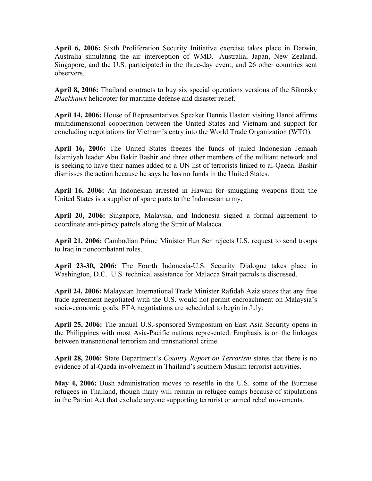**April 6, 2006:** Sixth Proliferation Security Initiative exercise takes place in Darwin, Australia simulating the air interception of WMD. Australia, Japan, New Zealand, Singapore, and the U.S. participated in the three-day event, and 26 other countries sent observers.

**April 8, 2006:** Thailand contracts to buy six special operations versions of the Sikorsky *Blackhawk* helicopter for maritime defense and disaster relief.

**April 14, 2006:** House of Representatives Speaker Dennis Hastert visiting Hanoi affirms multidimensional cooperation between the United States and Vietnam and support for concluding negotiations for Vietnam's entry into the World Trade Organization (WTO).

**April 16, 2006:** The United States freezes the funds of jailed Indonesian Jemaah Islamiyah leader Abu Bakir Bashir and three other members of the militant network and is seeking to have their names added to a UN list of terrorists linked to al-Qaeda. Bashir dismisses the action because he says he has no funds in the United States.

**April 16, 2006:** An Indonesian arrested in Hawaii for smuggling weapons from the United States is a supplier of spare parts to the Indonesian army.

**April 20, 2006:** Singapore, Malaysia, and Indonesia signed a formal agreement to coordinate anti-piracy patrols along the Strait of Malacca.

**April 21, 2006:** Cambodian Prime Minister Hun Sen rejects U.S. request to send troops to Iraq in noncombatant roles.

**April 23-30, 2006:** The Fourth Indonesia-U.S. Security Dialogue takes place in Washington, D.C. U.S. technical assistance for Malacca Strait patrols is discussed.

**April 24, 2006:** Malaysian International Trade Minister Rafidah Aziz states that any free trade agreement negotiated with the U.S. would not permit encroachment on Malaysia's socio-economic goals. FTA negotiations are scheduled to begin in July.

**April 25, 2006:** The annual U.S.-sponsored Symposium on East Asia Security opens in the Philippines with most Asia-Pacific nations represented. Emphasis is on the linkages between transnational terrorism and transnational crime.

**April 28, 2006:** State Department's *Country Report on Terrorism* states that there is no evidence of al-Qaeda involvement in Thailand's southern Muslim terrorist activities.

**May 4, 2006:** Bush administration moves to resettle in the U.S. some of the Burmese refugees in Thailand, though many will remain in refugee camps because of stipulations in the Patriot Act that exclude anyone supporting terrorist or armed rebel movements.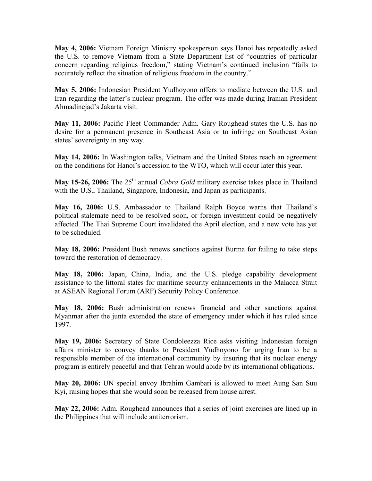**May 4, 2006:** Vietnam Foreign Ministry spokesperson says Hanoi has repeatedly asked the U.S. to remove Vietnam from a State Department list of "countries of particular concern regarding religious freedom," stating Vietnam's continued inclusion "fails to accurately reflect the situation of religious freedom in the country."

**May 5, 2006:** Indonesian President Yudhoyono offers to mediate between the U.S. and Iran regarding the latter's nuclear program. The offer was made during Iranian President Ahmadinejad's Jakarta visit.

**May 11, 2006:** Pacific Fleet Commander Adm. Gary Roughead states the U.S. has no desire for a permanent presence in Southeast Asia or to infringe on Southeast Asian states' sovereignty in any way.

**May 14, 2006:** In Washington talks, Vietnam and the United States reach an agreement on the conditions for Hanoi's accession to the WTO, which will occur later this year.

**May 15-26, 2006:** The 25<sup>th</sup> annual *Cobra Gold* military exercise takes place in Thailand with the U.S., Thailand, Singapore, Indonesia, and Japan as participants.

**May 16, 2006:** U.S. Ambassador to Thailand Ralph Boyce warns that Thailand's political stalemate need to be resolved soon, or foreign investment could be negatively affected. The Thai Supreme Court invalidated the April election, and a new vote has yet to be scheduled.

**May 18, 2006:** President Bush renews sanctions against Burma for failing to take steps toward the restoration of democracy.

**May 18, 2006:** Japan, China, India, and the U.S. pledge capability development assistance to the littoral states for maritime security enhancements in the Malacca Strait at ASEAN Regional Forum (ARF) Security Policy Conference.

**May 18, 2006:** Bush administration renews financial and other sanctions against Myanmar after the junta extended the state of emergency under which it has ruled since 1997.

**May 19, 2006:** Secretary of State Condoleezza Rice asks visiting Indonesian foreign affairs minister to convey thanks to President Yudhoyono for urging Iran to be a responsible member of the international community by insuring that its nuclear energy program is entirely peaceful and that Tehran would abide by its international obligations.

**May 20, 2006:** UN special envoy Ibrahim Gambari is allowed to meet Aung San Suu Kyi, raising hopes that she would soon be released from house arrest.

**May 22, 2006:** Adm. Roughead announces that a series of joint exercises are lined up in the Philippines that will include antiterrorism.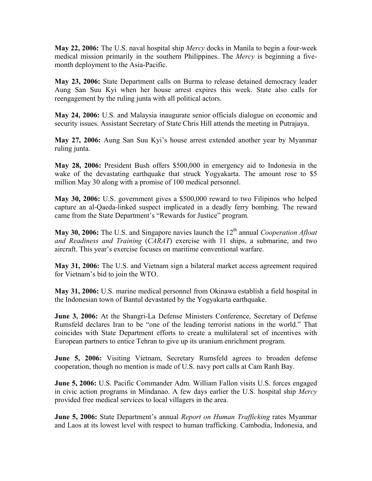**May 22, 2006:** The U.S. naval hospital ship *Mercy* docks in Manila to begin a four-week medical mission primarily in the southern Philippines. The *Mercy* is beginning a fivemonth deployment to the Asia-Pacific.

**May 23, 2006:** State Department calls on Burma to release detained democracy leader Aung San Suu Kyi when her house arrest expires this week. State also calls for reengagement by the ruling junta with all political actors.

**May 24, 2006:** U.S. and Malaysia inaugurate senior officials dialogue on economic and security issues. Assistant Secretary of State Chris Hill attends the meeting in Putrajaya.

**May 27, 2006:** Aung San Suu Kyi's house arrest extended another year by Myanmar ruling junta.

**May 28, 2006:** President Bush offers \$500,000 in emergency aid to Indonesia in the wake of the devastating earthquake that struck Yogyakarta. The amount rose to \$5 million May 30 along with a promise of 100 medical personnel.

**May 30, 2006:** U.S. government gives a \$500,000 reward to two Filipinos who helped capture an al-Qaeda-linked suspect implicated in a deadly ferry bombing. The reward came from the State Department's "Rewards for Justice" program.

**May 30, 2006:** The U.S. and Singapore navies launch the 12<sup>th</sup> annual *Cooperation Afloat and Readiness and Training* (*CARAT*) exercise with 11 ships, a submarine, and two aircraft. This year's exercise focuses on maritime conventional warfare.

**May 31, 2006:** The U.S. and Vietnam sign a bilateral market access agreement required for Vietnam's bid to join the WTO.

**May 31, 2006:** U.S. marine medical personnel from Okinawa establish a field hospital in the Indonesian town of Bantul devastated by the Yogyakarta earthquake.

**June 3, 2006:** At the Shangri-La Defense Ministers Conference, Secretary of Defense Rumsfeld declares Iran to be "one of the leading terrorist nations in the world." That coincides with State Department efforts to create a multilateral set of incentives with European partners to entice Tehran to give up its uranium enrichment program.

**June 5, 2006:** Visiting Vietnam, Secretary Rumsfeld agrees to broaden defense cooperation, though no mention is made of U.S. navy port calls at Cam Ranh Bay.

**June 5, 2006:** U.S. Pacific Commander Adm. William Fallon visits U.S. forces engaged in civic action programs in Mindanao. A few days earlier the U.S. hospital ship *Mercy* provided free medical services to local villagers in the area.

**June 5, 2006:** State Department's annual *Report on Human Trafficking* rates Myanmar and Laos at its lowest level with respect to human trafficking. Cambodia, Indonesia, and